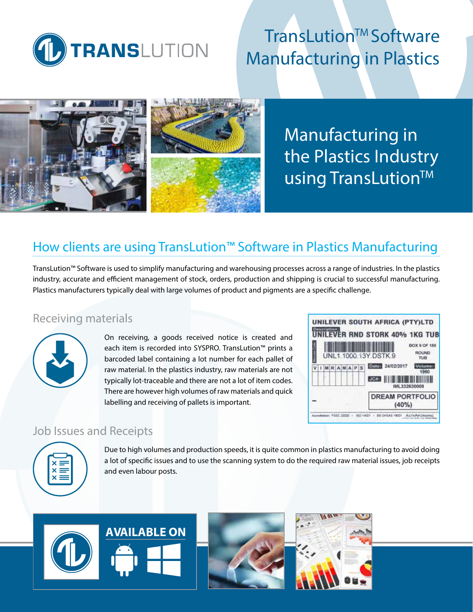

# **TransLution™ Software** Manufacturing in Plastics



Manufacturing in the Plastics Industry using TransLution™

# How clients are using TransLution™ Software in Plastics Manufacturing

TransLution™ Software is used to simplify manufacturing and warehousing processes across a range of industries. In the plastics industry, accurate and efficient management of stock, orders, production and shipping is crucial to successful manufacturing. Plastics manufacturers typically deal with large volumes of product and pigments are a specific challenge.

### Receiving materials



On receiving, a goods received notice is created and each item is recorded into SYSPRO. TransLution™ prints a barcoded label containing a lot number for each pallet of raw material. In the plastics industry, raw materials are not typically lot-traceable and there are not a lot of item codes. There are however high volumes of raw materials and quick labelling and receiving of pallets is important.



### Job Issues and Receipts



Due to high volumes and production speeds, it is quite common in plastics manufacturing to avoid doing a lot of specific issues and to use the scanning system to do the required raw material issues, job receipts and even labour posts.

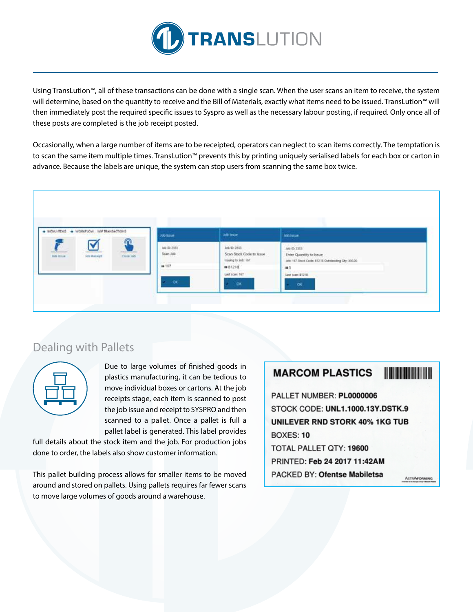

Using TransLution™, all of these transactions can be done with a single scan. When the user scans an item to receive, the system will determine, based on the quantity to receive and the Bill of Materials, exactly what items need to be issued. TransLution™ will then immediately post the required specific issues to Syspro as well as the necessary labour posting, if required. Only once all of these posts are completed is the job receipt posted.

Occasionally, when a large number of items are to be receipted, operators can neglect to scan items correctly. The temptation is to scan the same item multiple times. TransLution™ prevents this by printing uniquely serialised labels for each box or carton in advance. Because the labels are unique, the system can stop users from scanning the same box twice.



### Dealing with Pallets



Due to large volumes of finished goods in plastics manufacturing, it can be tedious to move individual boxes or cartons. At the job receipts stage, each item is scanned to post the job issue and receipt to SYSPRO and then scanned to a pallet. Once a pallet is full a pallet label is generated. This label provides

full details about the stock item and the job. For production jobs done to order, the labels also show customer information.

This pallet building process allows for smaller items to be moved around and stored on pallets. Using pallets requires far fewer scans to move large volumes of goods around a warehouse.

#### **The Community MARCOM PLASTICS** PALLET NUMBER: PL0000006 STOCK CODE: UNL1.1000.13Y.DSTK.9 **UNILEVER RND STORK 40% 1KG TUB BOXES: 10** TOTAL PALLET QTY: 19600 PRINTED: Feb 24 2017 11:42AM PACKED BY: Ofentse Mabiletsa **ASTRAFORMIN**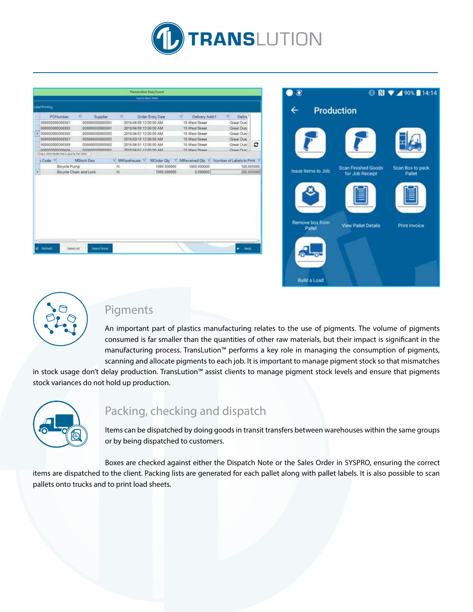

|                                                                  |                                  |                        | <b>Translution EaryTouch</b> |                                                          |                         |            |
|------------------------------------------------------------------|----------------------------------|------------------------|------------------------------|----------------------------------------------------------|-------------------------|------------|
|                                                                  |                                  |                        | <b>Name Rate (994)</b>       |                                                          |                         |            |
| <b>John Printing</b>                                             |                                  |                        |                              |                                                          |                         |            |
| PONumber                                                         | v<br>Supplier                    | $\mathcal{R}$          | Order Entry Date             | W.<br>Delivery Addr1                                     | ж<br>Delve <sup>*</sup> |            |
| 00000000000381                                                   | 00000000000001<br>00000000000001 |                        | 2015/04/09 12:00:00 AM       | 15 West Street                                           | Great Outd              |            |
| 00000000000383                                                   |                                  |                        | 2015/04/09 12:00:00 AM       |                                                          | Great Outc.             |            |
| 00000000000335<br>000000000000002                                |                                  | 2015/04/07 12:00:00 AM |                              | 15 West Street                                           | Great Outd              |            |
| 00000000000387                                                   | 00000000000002                   | 2015/03/10 12:00:00 AM |                              | 16 West Street                                           | Great Outc              |            |
| 0000000000038%                                                   | 00000000000002                   | 2015/04/01 12:00:00 AM |                              | 15 West Street                                           | Great Dutcl             | ٥          |
| enecononegia                                                     | 000000000000001                  | 2016/04/01 12:00:00 AM |                              | 15 Wast Ground                                           | Grant Over              |            |
| Tring a critical header have to googlife that critican<br>Code V | MStock Date                      | V: MWarehouse V        |                              | MOrder City V MReceived City V Number of Labels to Print |                         |            |
|                                                                  | Bicycle Pump                     |                        | 1000.000000                  | 1000.000000                                              | 100.000000              |            |
| Bicycle Chain and Lock                                           |                                  | N<br>N<br>1000.000000  |                              | 0.000000                                                 |                         | 200.000000 |
|                                                                  |                                  |                        |                              |                                                          |                         |            |
|                                                                  |                                  |                        |                              |                                                          |                         |            |





### Pigments

An important part of plastics manufacturing relates to the use of pigments. The volume of pigments consumed is far smaller than the quantities of other raw materials, but their impact is significant in the manufacturing process. TransLution™ performs a key role in managing the consumption of pigments, scanning and allocate pigments to each job. It is important to manage pigment stock so that mismatches

in stock usage don't delay production. TransLution™ assist clients to manage pigment stock levels and ensure that pigments stock variances do not hold up production.



## Packing, checking and dispatch

Items can be dispatched by doing goods in transit transfers between warehouses within the same groups or by being dispatched to customers.

Boxes are checked against either the Dispatch Note or the Sales Order in SYSPRO, ensuring the correct items are dispatched to the client. Packing lists are generated for each pallet along with pallet labels. It is also possible to scan pallets onto trucks and to print load sheets.